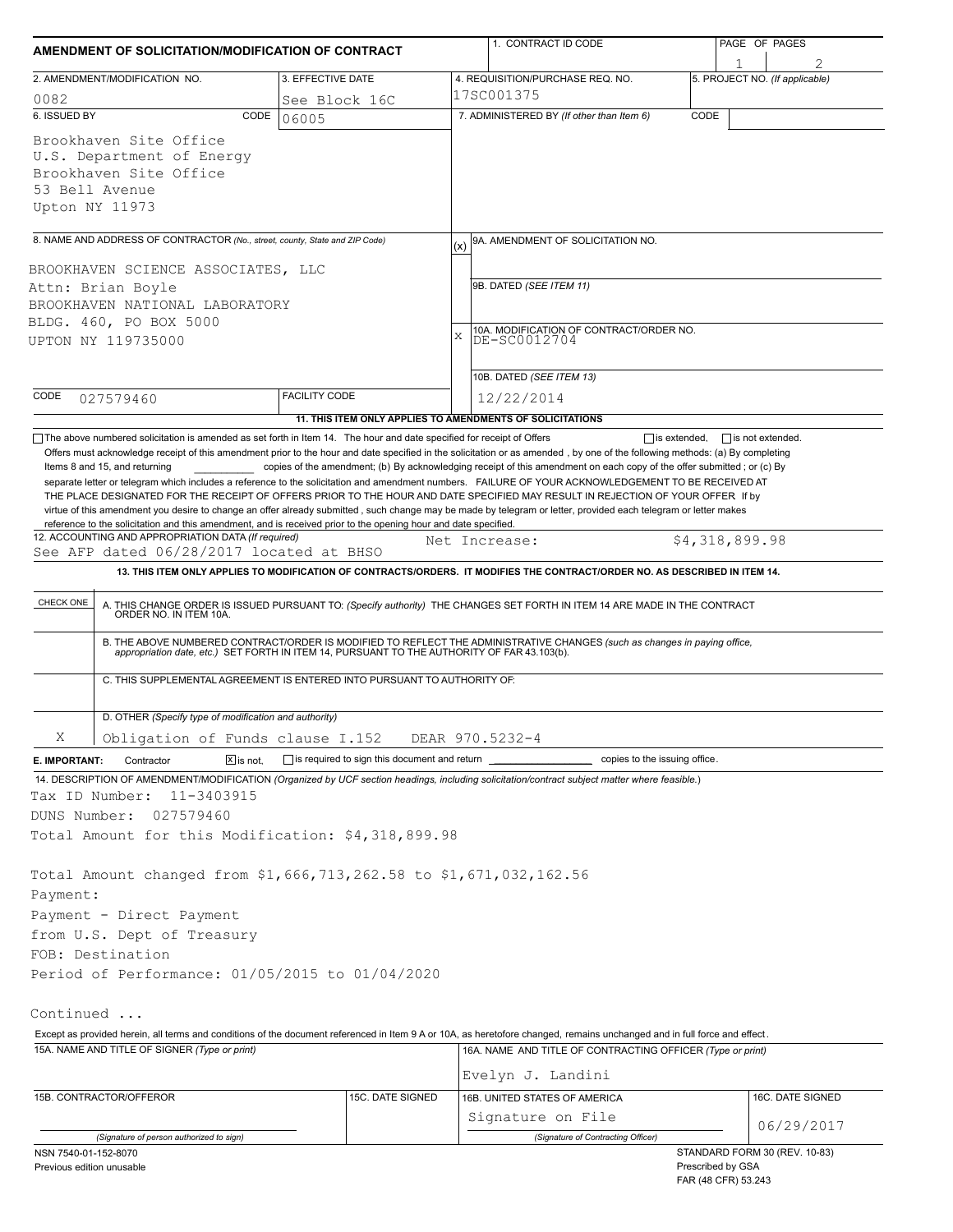| AMENDMENT OF SOLICITATION/MODIFICATION OF CONTRACT                                                                                                                                                                                                                                                                                                                                    |                                                           |     | 1. CONTRACT ID CODE                                                                                                                                                                                                   |                   | PAGE OF PAGES                                        |  |  |  |
|---------------------------------------------------------------------------------------------------------------------------------------------------------------------------------------------------------------------------------------------------------------------------------------------------------------------------------------------------------------------------------------|-----------------------------------------------------------|-----|-----------------------------------------------------------------------------------------------------------------------------------------------------------------------------------------------------------------------|-------------------|------------------------------------------------------|--|--|--|
| 2. AMENDMENT/MODIFICATION NO.                                                                                                                                                                                                                                                                                                                                                         | 3. EFFECTIVE DATE                                         |     | 4. REQUISITION/PURCHASE REQ. NO.                                                                                                                                                                                      |                   | 1<br>5. PROJECT NO. (If applicable)                  |  |  |  |
| 0082                                                                                                                                                                                                                                                                                                                                                                                  | See Block 16C                                             |     | 17SC001375                                                                                                                                                                                                            |                   |                                                      |  |  |  |
| 6. ISSUED BY<br>CODE                                                                                                                                                                                                                                                                                                                                                                  | 06005                                                     |     | 7. ADMINISTERED BY (If other than Item 6)                                                                                                                                                                             | CODE              |                                                      |  |  |  |
| Brookhaven Site Office<br>U.S. Department of Energy<br>Brookhaven Site Office<br>53 Bell Avenue<br>Upton NY 11973                                                                                                                                                                                                                                                                     |                                                           |     |                                                                                                                                                                                                                       |                   |                                                      |  |  |  |
| 8. NAME AND ADDRESS OF CONTRACTOR (No., street, county, State and ZIP Code)                                                                                                                                                                                                                                                                                                           |                                                           | (x) | 9A. AMENDMENT OF SOLICITATION NO.                                                                                                                                                                                     |                   |                                                      |  |  |  |
|                                                                                                                                                                                                                                                                                                                                                                                       |                                                           |     | 9B. DATED (SEE ITEM 11)                                                                                                                                                                                               |                   |                                                      |  |  |  |
| BROOKHAVEN SCIENCE ASSOCIATES, LLC<br>Attn: Brian Boyle                                                                                                                                                                                                                                                                                                                               |                                                           |     |                                                                                                                                                                                                                       |                   |                                                      |  |  |  |
| BROOKHAVEN NATIONAL LABORATORY                                                                                                                                                                                                                                                                                                                                                        |                                                           |     |                                                                                                                                                                                                                       |                   |                                                      |  |  |  |
| BLDG. 460, PO BOX 5000                                                                                                                                                                                                                                                                                                                                                                |                                                           |     |                                                                                                                                                                                                                       |                   |                                                      |  |  |  |
| UPTON NY 119735000                                                                                                                                                                                                                                                                                                                                                                    |                                                           | X   | 10A. MODIFICATION OF CONTRACT/ORDER NO.<br>DE-SC0012704                                                                                                                                                               |                   |                                                      |  |  |  |
|                                                                                                                                                                                                                                                                                                                                                                                       |                                                           |     |                                                                                                                                                                                                                       |                   |                                                      |  |  |  |
|                                                                                                                                                                                                                                                                                                                                                                                       |                                                           |     | 10B. DATED (SEE ITEM 13)                                                                                                                                                                                              |                   |                                                      |  |  |  |
| CODE<br>027579460                                                                                                                                                                                                                                                                                                                                                                     | <b>FACILITY CODE</b>                                      |     | 12/22/2014                                                                                                                                                                                                            |                   |                                                      |  |  |  |
|                                                                                                                                                                                                                                                                                                                                                                                       | 11. THIS ITEM ONLY APPLIES TO AMENDMENTS OF SOLICITATIONS |     |                                                                                                                                                                                                                       |                   |                                                      |  |  |  |
| virtue of this amendment you desire to change an offer already submitted, such change may be made by telegram or letter, provided each telegram or letter makes<br>reference to the solicitation and this amendment, and is received prior to the opening hour and date specified.<br>12. ACCOUNTING AND APPROPRIATION DATA (If required)<br>See AFP dated 06/28/2017 located at BHSO |                                                           |     | Net Increase:                                                                                                                                                                                                         |                   | \$4,318,899.98                                       |  |  |  |
|                                                                                                                                                                                                                                                                                                                                                                                       |                                                           |     | 13. THIS ITEM ONLY APPLIES TO MODIFICATION OF CONTRACTS/ORDERS. IT MODIFIES THE CONTRACT/ORDER NO. AS DESCRIBED IN ITEM 14.                                                                                           |                   |                                                      |  |  |  |
| CHECK ONE                                                                                                                                                                                                                                                                                                                                                                             |                                                           |     | A. THIS CHANGE ORDER IS ISSUED PURSUANT TO: (Specify authority) THE CHANGES SET FORTH IN ITEM 14 ARE MADE IN THE CONTRACT ORDER NO. IN ITEM 10A.                                                                      |                   |                                                      |  |  |  |
|                                                                                                                                                                                                                                                                                                                                                                                       |                                                           |     | B. THE ABOVE NUMBERED CONTRACT/ORDER IS MODIFIED TO REFLECT THE ADMINISTRATIVE CHANGES (such as changes in paying office, appropriation date, etc.) SET FORTH IN ITEM 14, PURSUANT TO THE AUTHORITY OF FAR 43.103(b). |                   |                                                      |  |  |  |
| C. THIS SUPPLEMENTAL AGREEMENT IS ENTERED INTO PURSUANT TO AUTHORITY OF:                                                                                                                                                                                                                                                                                                              |                                                           |     |                                                                                                                                                                                                                       |                   |                                                      |  |  |  |
| D. OTHER (Specify type of modification and authority)                                                                                                                                                                                                                                                                                                                                 |                                                           |     |                                                                                                                                                                                                                       |                   |                                                      |  |  |  |
| Χ<br>Obligation of Funds clause I.152                                                                                                                                                                                                                                                                                                                                                 |                                                           |     | DEAR 970.5232-4                                                                                                                                                                                                       |                   |                                                      |  |  |  |
| $X$ is not.<br>E. IMPORTANT:<br>Contractor                                                                                                                                                                                                                                                                                                                                            | $\Box$ is required to sign this document and return       |     | copies to the issuing office.                                                                                                                                                                                         |                   |                                                      |  |  |  |
| 14. DESCRIPTION OF AMENDMENT/MODIFICATION (Organized by UCF section headings, including solicitation/contract subject matter where feasible.)                                                                                                                                                                                                                                         |                                                           |     |                                                                                                                                                                                                                       |                   |                                                      |  |  |  |
| 11-3403915<br>Tax ID Number:<br>DUNS Number:<br>027579460                                                                                                                                                                                                                                                                                                                             |                                                           |     |                                                                                                                                                                                                                       |                   |                                                      |  |  |  |
| Total Amount for this Modification: \$4,318,899.98                                                                                                                                                                                                                                                                                                                                    |                                                           |     |                                                                                                                                                                                                                       |                   |                                                      |  |  |  |
|                                                                                                                                                                                                                                                                                                                                                                                       |                                                           |     |                                                                                                                                                                                                                       |                   |                                                      |  |  |  |
| Total Amount changed from \$1,666,713,262.58 to \$1,671,032,162.56                                                                                                                                                                                                                                                                                                                    |                                                           |     |                                                                                                                                                                                                                       |                   |                                                      |  |  |  |
| Payment:                                                                                                                                                                                                                                                                                                                                                                              |                                                           |     |                                                                                                                                                                                                                       |                   |                                                      |  |  |  |
| Payment - Direct Payment                                                                                                                                                                                                                                                                                                                                                              |                                                           |     |                                                                                                                                                                                                                       |                   |                                                      |  |  |  |
| from U.S. Dept of Treasury                                                                                                                                                                                                                                                                                                                                                            |                                                           |     |                                                                                                                                                                                                                       |                   |                                                      |  |  |  |
| FOB: Destination                                                                                                                                                                                                                                                                                                                                                                      |                                                           |     |                                                                                                                                                                                                                       |                   |                                                      |  |  |  |
| Period of Performance: 01/05/2015 to 01/04/2020                                                                                                                                                                                                                                                                                                                                       |                                                           |     |                                                                                                                                                                                                                       |                   |                                                      |  |  |  |
|                                                                                                                                                                                                                                                                                                                                                                                       |                                                           |     |                                                                                                                                                                                                                       |                   |                                                      |  |  |  |
| Continued                                                                                                                                                                                                                                                                                                                                                                             |                                                           |     |                                                                                                                                                                                                                       |                   |                                                      |  |  |  |
| Except as provided herein, all terms and conditions of the document referenced in Item 9 A or 10A, as heretofore changed, remains unchanged and in full force and effect.                                                                                                                                                                                                             |                                                           |     |                                                                                                                                                                                                                       |                   |                                                      |  |  |  |
| 15A. NAME AND TITLE OF SIGNER (Type or print)                                                                                                                                                                                                                                                                                                                                         |                                                           |     | 16A. NAME AND TITLE OF CONTRACTING OFFICER (Type or print)                                                                                                                                                            |                   |                                                      |  |  |  |
|                                                                                                                                                                                                                                                                                                                                                                                       |                                                           |     | Evelyn J. Landini                                                                                                                                                                                                     |                   |                                                      |  |  |  |
| 15B. CONTRACTOR/OFFEROR                                                                                                                                                                                                                                                                                                                                                               | 15C. DATE SIGNED                                          |     | 16B. UNITED STATES OF AMERICA                                                                                                                                                                                         |                   | 16C. DATE SIGNED                                     |  |  |  |
|                                                                                                                                                                                                                                                                                                                                                                                       |                                                           |     | Signature on File                                                                                                                                                                                                     |                   | 06/29/2017                                           |  |  |  |
| (Signature of person authorized to sign)                                                                                                                                                                                                                                                                                                                                              |                                                           |     | (Signature of Contracting Officer)                                                                                                                                                                                    |                   |                                                      |  |  |  |
| NSN 7540-01-152-8070<br>Previous edition unusable                                                                                                                                                                                                                                                                                                                                     |                                                           |     |                                                                                                                                                                                                                       | Prescribed by GSA | STANDARD FORM 30 (REV. 10-83)<br>FAR (48 CFR) 53.243 |  |  |  |